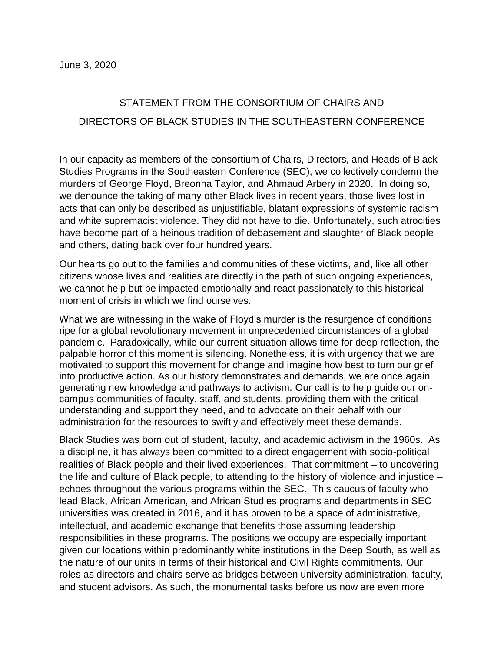## STATEMENT FROM THE CONSORTIUM OF CHAIRS AND DIRECTORS OF BLACK STUDIES IN THE SOUTHEASTERN CONFERENCE

In our capacity as members of the consortium of Chairs, Directors, and Heads of Black Studies Programs in the Southeastern Conference (SEC), we collectively condemn the murders of George Floyd, Breonna Taylor, and Ahmaud Arbery in 2020. In doing so, we denounce the taking of many other Black lives in recent years, those lives lost in acts that can only be described as unjustifiable, blatant expressions of systemic racism and white supremacist violence. They did not have to die. Unfortunately, such atrocities have become part of a heinous tradition of debasement and slaughter of Black people and others, dating back over four hundred years.

Our hearts go out to the families and communities of these victims, and, like all other citizens whose lives and realities are directly in the path of such ongoing experiences, we cannot help but be impacted emotionally and react passionately to this historical moment of crisis in which we find ourselves.

What we are witnessing in the wake of Floyd's murder is the resurgence of conditions ripe for a global revolutionary movement in unprecedented circumstances of a global pandemic. Paradoxically, while our current situation allows time for deep reflection, the palpable horror of this moment is silencing. Nonetheless, it is with urgency that we are motivated to support this movement for change and imagine how best to turn our grief into productive action. As our history demonstrates and demands, we are once again generating new knowledge and pathways to activism. Our call is to help guide our oncampus communities of faculty, staff, and students, providing them with the critical understanding and support they need, and to advocate on their behalf with our administration for the resources to swiftly and effectively meet these demands.

Black Studies was born out of student, faculty, and academic activism in the 1960s. As a discipline, it has always been committed to a direct engagement with socio-political realities of Black people and their lived experiences. That commitment – to uncovering the life and culture of Black people, to attending to the history of violence and injustice – echoes throughout the various programs within the SEC. This caucus of faculty who lead Black, African American, and African Studies programs and departments in SEC universities was created in 2016, and it has proven to be a space of administrative, intellectual, and academic exchange that benefits those assuming leadership responsibilities in these programs. The positions we occupy are especially important given our locations within predominantly white institutions in the Deep South, as well as the nature of our units in terms of their historical and Civil Rights commitments. Our roles as directors and chairs serve as bridges between university administration, faculty, and student advisors. As such, the monumental tasks before us now are even more